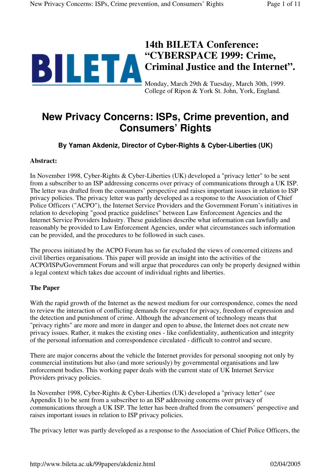# 14th BILETA Conference:<br>
"CYBERSPACE 1999: Crime, **"CYBERSPACE 1999: Crime, Criminal Justice and the Internet".**

Monday, March 29th & Tuesday, March 30th, 1999. College of Ripon & York St. John, York, England.

# **New Privacy Concerns: ISPs, Crime prevention, and Consumers' Rights**

**By Yaman Akdeniz, Director of Cyber-Rights & Cyber-Liberties (UK)**

#### **Abstract:**

In November 1998, Cyber-Rights & Cyber-Liberties (UK) developed a "privacy letter" to be sent from a subscriber to an ISP addressing concerns over privacy of communications through a UK ISP. The letter was drafted from the consumers' perspective and raises important issues in relation to ISP privacy policies. The privacy letter was partly developed as a response to the Association of Chief Police Officers ("ACPO"), the Internet Service Providers and the Government Forum's initiatives in relation to developing "good practice guidelines" between Law Enforcement Agencies and the Internet Service Providers Industry. These guidelines describe what information can lawfully and reasonably be provided to Law Enforcement Agencies, under what circumstances such information can be provided, and the procedures to be followed in such cases.

The process initiated by the ACPO Forum has so far excluded the views of concerned citizens and civil liberties organisations. This paper will provide an insight into the activities of the ACPO/ISPs/Government Forum and will argue that procedures can only be properly designed within a legal context which takes due account of individual rights and liberties.

#### **The Paper**

With the rapid growth of the Internet as the newest medium for our correspondence, comes the need to review the interaction of conflicting demands for respect for privacy, freedom of expression and the detection and punishment of crime. Although the advancement of technology means that "privacy rights" are more and more in danger and open to abuse, the Internet does not create new privacy issues. Rather, it makes the existing ones - like confidentiality, authentication and integrity of the personal information and correspondence circulated - difficult to control and secure.

There are major concerns about the vehicle the Internet provides for personal snooping not only by commercial institutions but also (and more seriously) by governmental organisations and law enforcement bodies. This working paper deals with the current state of UK Internet Service Providers privacy policies.

In November 1998, Cyber-Rights & Cyber-Liberties (UK) developed a "privacy letter" (see Appendix I) to be sent from a subscriber to an ISP addressing concerns over privacy of communications through a UK ISP. The letter has been drafted from the consumers' perspective and raises important issues in relation to ISP privacy policies.

The privacy letter was partly developed as a response to the Association of Chief Police Officers, the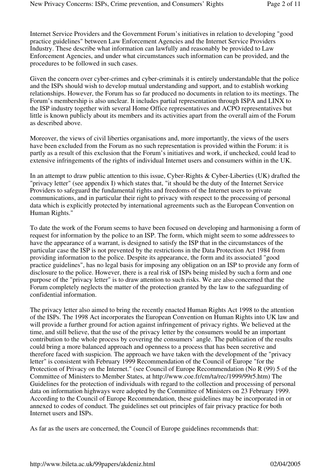Internet Service Providers and the Government Forum's initiatives in relation to developing "good practice guidelines" between Law Enforcement Agencies and the Internet Service Providers Industry. These describe what information can lawfully and reasonably be provided to Law Enforcement Agencies, and under what circumstances such information can be provided, and the procedures to be followed in such cases.

Given the concern over cyber-crimes and cyber-criminals it is entirely understandable that the police and the ISPs should wish to develop mutual understanding and support, and to establish working relationships. However, the Forum has so far produced no documents in relation to its meetings. The Forum's membership is also unclear. It includes partial representation through ISPA and LINX to the ISP industry together with several Home Office representatives and ACPO representatives but little is known publicly about its members and its activities apart from the overall aim of the Forum as described above.

Moreover, the views of civil liberties organisations and, more importantly, the views of the users have been excluded from the Forum as no such representation is provided within the Forum: it is partly as a result of this exclusion that the Forum's initiatives and work, if unchecked, could lead to extensive infringements of the rights of individual Internet users and consumers within in the UK.

In an attempt to draw public attention to this issue, Cyber-Rights & Cyber-Liberties (UK) drafted the "privacy letter" (see appendix I) which states that, "it should be the duty of the Internet Service Providers to safeguard the fundamental rights and freedoms of the Internet users to private communications, and in particular their right to privacy with respect to the processing of personal data which is explicitly protected by international agreements such as the European Convention on Human Rights."

To date the work of the Forum seems to have been focused on developing and harmonising a form of request for information by the police to an ISP. The form, which might seem to some addressees to have the appearance of a warrant, is designed to satisfy the ISP that in the circumstances of the particular case the ISP is not prevented by the restrictions in the Data Protection Act 1984 from providing information to the police. Despite its appearance, the form and its associated "good practice guidelines", has no legal basis for imposing any obligation on an ISP to provide any form of disclosure to the police. However, there is a real risk of ISPs being misled by such a form and one purpose of the "privacy letter" is to draw attention to such risks. We are also concerned that the Forum completely neglects the matter of the protection granted by the law to the safeguarding of confidential information.

The privacy letter also aimed to bring the recently enacted Human Rights Act 1998 to the attention of the ISPs. The 1998 Act incorporates the European Convention on Human Rights into UK law and will provide a further ground for action against infringement of privacy rights. We believed at the time, and still believe, that the use of the privacy letter by the consumers would be an important contribution to the whole process by covering the consumers' angle. The publication of the results could bring a more balanced approach and openness to a process that has been secretive and therefore faced with suspicion. The approach we have taken with the development of the "privacy letter" is consistent with February 1999 Recommendation of the Council of Europe "for the Protection of Privacy on the Internet." (see Council of Europe Recommendation (No R (99) 5 of the Committee of Ministers to Member States, at http://www.coe.fr/cm/ta/rec/1999/99r5.htm) The Guidelines for the protection of individuals with regard to the collection and processing of personal data on information highways were adopted by the Committee of Ministers on 23 February 1999. According to the Council of Europe Recommendation, these guidelines may be incorporated in or annexed to codes of conduct. The guidelines set out principles of fair privacy practice for both Internet users and ISPs.

As far as the users are concerned, the Council of Europe guidelines recommends that: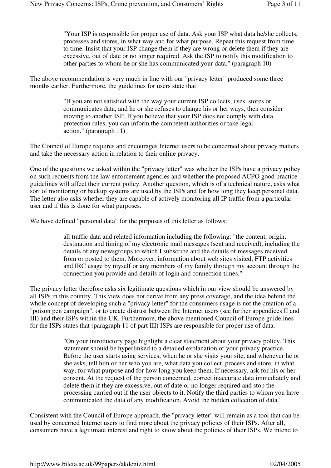"Your ISP is responsible for proper use of data. Ask your ISP what data he/she collects, processes and stores, in what way and for what purpose. Repeat this request from time to time. Insist that your ISP change them if they are wrong or delete them if they are excessive, out of date or no longer required. Ask the ISP to notify this modification to other parties to whom he or she has communicated your data." (paragraph 10)

The above recommendation is very much in line with our "privacy letter" produced some three months earlier. Furthermore, the guidelines for users state that:

> "If you are not satisfied with the way your current ISP collects, uses, stores or communicates data, and he or she refuses to change his or her ways, then consider moving to another ISP. If you believe that your ISP does not comply with data protection rules, you can inform the competent authorities or take legal action." (paragraph 11)

The Council of Europe requires and encourages Internet users to be concerned about privacy matters and take the necessary action in relation to their online privacy.

One of the questions we asked within the "privacy letter" was whether the ISPs have a privacy policy on such requests from the law enforcement agencies and whether the proposed ACPO good practice guidelines will affect their current policy. Another question, which is of a technical nature, asks what sort of monitoring or backup systems are used by the ISPs and for how long they keep personal data. The letter also asks whether they are capable of actively monitoring all IP traffic from a particular user and if this is done for what purposes.

We have defined "personal data" for the purposes of this letter as follows:

all traffic data and related information including the following: "the content, origin, destination and timing of my electronic mail messages (sent and received), including the details of any newsgroups to which I subscribe and the details of messages received from or posted to them. Moreover, information about web sites visited, FTP activities and IRC usage by myself or any members of my family through my account through the connection you provide and details of login and connection times."

The privacy letter therefore asks six legitimate questions which in our view should be answered by all ISPs in this country. This view does not derive from any press coverage, and the idea behind the whole concept of developing such a "privacy letter" for the consumers usage is not the creation of a "poison pen campaign", or to create distrust between the Internet users (see further appendices II and III) and their ISPs within the UK. Furthermore, the above mentioned Council of Europe guidelines for the ISPs states that (paragraph 11 of part III) ISPs are responsible for proper use of data.

> "On your introductory page highlight a clear statement about your privacy policy. This statement should be hyperlinked to a detailed explanation of your privacy practice. Before the user starts using services, when he or she visits your site, and whenever he or she asks, tell him or her who you are, what data you collect, process and store, in what way, for what purpose and for how long you keep them. If necessary, ask for his or her consent. At the request of the person concerned, correct inaccurate data immediately and delete them if they are excessive, out of date or no longer required and stop the processing carried out if the user objects to it. Notify the third parties to whom you have communicated the data of any modification. Avoid the hidden collection of data."

Consistent with the Council of Europe approach, the "privacy letter" will remain as a tool that can be used by concerned Internet users to find more about the privacy policies of their ISPs. After all, consumers have a legitimate interest and right to know about the policies of their ISPs. We intend to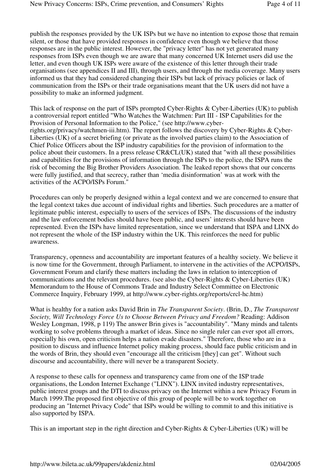publish the responses provided by the UK ISPs but we have no intention to expose those that remain silent, or those that have provided responses in confidence even though we believe that those responses are in the public interest. However, the "privacy letter" has not yet generated many responses from ISPs even though we are aware that many concerned UK Internet users did use the letter, and even though UK ISPs were aware of the existence of this letter through their trade organisations (see appendices II and III), through users, and through the media coverage. Many users informed us that they had considered changing their ISPs but lack of privacy policies or lack of communication from the ISPs or their trade organisations meant that the UK users did not have a possibility to make an informed judgment.

This lack of response on the part of ISPs prompted Cyber-Rights & Cyber-Liberties (UK) to publish a controversial report entitled "Who Watches the Watchmen: Part III - ISP Capabilities for the Provision of Personal Information to the Police," (see http://www.cyberrights.org/privacy/watchmen-iii.htm). The report follows the discovery by Cyber-Rights & Cyber-Liberties (UK) of a secret briefing (or private as the involved parties claim) to the Association of Chief Police Officers about the ISP industry capabilities for the provision of information to the police about their customers. In a press release CR&CL(UK) stated that "with all these possibilities and capabilities for the provisions of information through the ISPs to the police, the ISPA runs the risk of becoming the Big Brother Providers Association. The leaked report shows that our concerns were fully justified, and that secrecy, rather than 'media disinformation' was at work with the activities of the ACPO/ISPs Forum."

Procedures can only be properly designed within a legal context and we are concerned to ensure that the legal context takes due account of individual rights and liberties. Such procedures are a matter of legitimate public interest, especially to users of the services of ISPs. The discussions of the industry and the law enforcement bodies should have been public, and users' interests should have been represented. Even the ISPs have limited representation, since we understand that ISPA and LINX do not represent the whole of the ISP industry within the UK. This reinforces the need for public awareness.

Transparency, openness and accountability are important features of a healthy society. We believe it is now time for the Government, through Parliament, to intervene in the activities of the ACPO/ISPs, Government Forum and clarify these matters including the laws in relation to interception of communications and the relevant procedures. (see also the Cyber-Rights & Cyber-Liberties (UK) Memorandum to the House of Commons Trade and Industry Select Committee on Electronic Commerce Inquiry, February 1999, at http://www.cyber-rights.org/reports/crcl-hc.htm)

What is healthy for a nation asks David Brin in *The Transparent Society*. (Brin, D., *The Transparent Society, Will Technology Force Us to Choose Between Privacy and Freedom?* Reading: Addison Wesley Longman, 1998, p 119) The answer Brin gives is "accountability". "Many minds and talents working to solve problems through a market of ideas. Since no single ruler can ever spot all errors, especially his own, open criticism helps a nation evade disasters." Therefore, those who are in a position to discuss and influence Internet policy making process, should face public criticism and in the words of Brin, they should even "encourage all the criticism [they] can get". Without such discourse and accountability, there will never be a transparent Society.

A response to these calls for openness and transparency came from one of the ISP trade organisations, the London Internet Exchange ("LINX"). LINX invited industry representatives, public interest groups and the DTI to discuss privacy on the Internet within a new Privacy Forum in March 1999.The proposed first objective of this group of people will be to work together on producing an "Internet Privacy Code" that ISPs would be willing to commit to and this initiative is also supported by ISPA.

This is an important step in the right direction and Cyber-Rights & Cyber-Liberties (UK) will be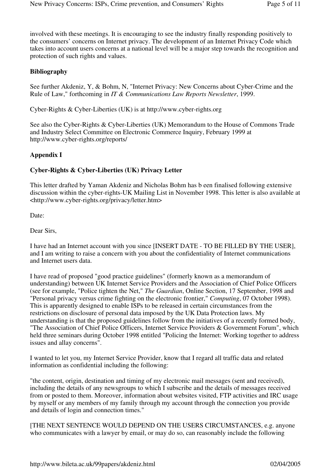involved with these meetings. It is encouraging to see the industry finally responding positively to the consumers' concerns on Internet privacy. The development of an Internet Privacy Code which takes into account users concerns at a national level will be a major step towards the recognition and protection of such rights and values.

# **Bibliography**

See further Akdeniz, Y, & Bohm, N, "Internet Privacy: New Concerns about Cyber-Crime and the Rule of Law," forthcoming in *IT & Communications Law Reports Newsletter*, 1999.

Cyber-Rights & Cyber-Liberties (UK) is at http://www.cyber-rights.org

See also the Cyber-Rights & Cyber-Liberties (UK) Memorandum to the House of Commons Trade and Industry Select Committee on Electronic Commerce Inquiry, February 1999 at http://www.cyber-rights.org/reports/

# **Appendix I**

# **Cyber-Rights & Cyber-Liberties (UK) Privacy Letter**

This letter drafted by Yaman Akdeniz and Nicholas Bohm has b een finalised following extensive discussion within the cyber-rights-UK Mailing List in November 1998. This letter is also available at <http://www.cyber-rights.org/privacy/letter.htm>

Date:

Dear Sirs,

I have had an Internet account with you since [INSERT DATE - TO BE FILLED BY THE USER], and I am writing to raise a concern with you about the confidentiality of Internet communications and Internet users data.

I have read of proposed "good practice guidelines" (formerly known as a memorandum of understanding) between UK Internet Service Providers and the Association of Chief Police Officers (see for example, "Police tighten the Net," *The Guardian*, Online Section, 17 September, 1998 and "Personal privacy versus crime fighting on the electronic frontier," *Computing*, 07 October 1998). This is apparently designed to enable ISPs to be released in certain circumstances from the restrictions on disclosure of personal data imposed by the UK Data Protection laws. My understanding is that the proposed guidelines follow from the initiatives of a recently formed body, "The Association of Chief Police Officers, Internet Service Providers & Government Forum", which held three seminars during October 1998 entitled "Policing the Internet: Working together to address issues and allay concerns".

I wanted to let you, my Internet Service Provider, know that I regard all traffic data and related information as confidential including the following:

"the content, origin, destination and timing of my electronic mail messages (sent and received), including the details of any newsgroups to which I subscribe and the details of messages received from or posted to them. Moreover, information about websites visited, FTP activities and IRC usage by myself or any members of my family through my account through the connection you provide and details of login and connection times."

[THE NEXT SENTENCE WOULD DEPEND ON THE USERS CIRCUMSTANCES, e.g. anyone who communicates with a lawyer by email, or may do so, can reasonably include the following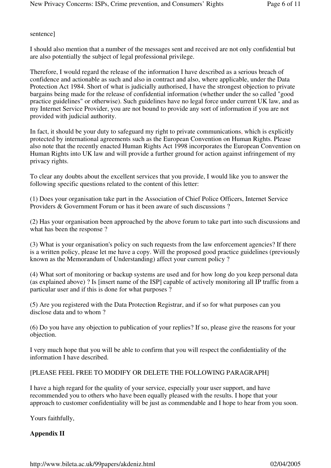sentence]

I should also mention that a number of the messages sent and received are not only confidential but are also potentially the subject of legal professional privilege.

Therefore, I would regard the release of the information I have described as a serious breach of confidence and actionable as such and also in contract and also, where applicable, under the Data Protection Act 1984. Short of what is judicially authorised, I have the strongest objection to private bargains being made for the release of confidential information (whether under the so called "good practice guidelines" or otherwise). Such guidelines have no legal force under current UK law, and as my Internet Service Provider, you are not bound to provide any sort of information if you are not provided with judicial authority.

In fact, it should be your duty to safeguard my right to private communications, which is explicitly protected by international agreements such as the European Convention on Human Rights. Please also note that the recently enacted Human Rights Act 1998 incorporates the European Convention on Human Rights into UK law and will provide a further ground for action against infringement of my privacy rights.

To clear any doubts about the excellent services that you provide, I would like you to answer the following specific questions related to the content of this letter:

(1) Does your organisation take part in the Association of Chief Police Officers, Internet Service Providers & Government Forum or has it been aware of such discussions ?

(2) Has your organisation been approached by the above forum to take part into such discussions and what has been the response ?

(3) What is your organisation's policy on such requests from the law enforcement agencies? If there is a written policy, please let me have a copy. Will the proposed good practice guidelines (previously known as the Memorandum of Understanding) affect your current policy ?

(4) What sort of monitoring or backup systems are used and for how long do you keep personal data (as explained above) ? Is [insert name of the ISP] capable of actively monitoring all IP traffic from a particular user and if this is done for what purposes ?

(5) Are you registered with the Data Protection Registrar, and if so for what purposes can you disclose data and to whom ?

(6) Do you have any objection to publication of your replies? If so, please give the reasons for your objection.

I very much hope that you will be able to confirm that you will respect the confidentiality of the information I have described.

#### [PLEASE FEEL FREE TO MODIFY OR DELETE THE FOLLOWING PARAGRAPH]

I have a high regard for the quality of your service, especially your user support, and have recommended you to others who have been equally pleased with the results. I hope that your approach to customer confidentiality will be just as commendable and I hope to hear from you soon.

Yours faithfully,

# **Appendix II**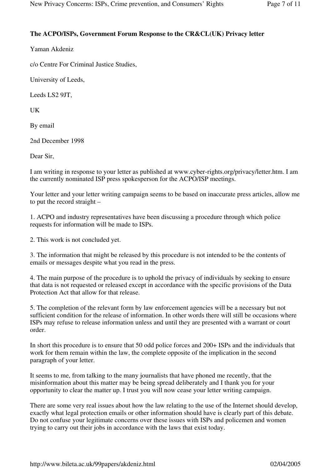# **The ACPO/ISPs, Government Forum Response to the CR&CL(UK) Privacy letter**

Yaman Akdeniz

c/o Centre For Criminal Justice Studies,

University of Leeds,

Leeds LS2 9JT,

UK

By email

2nd December 1998

Dear Sir,

I am writing in response to your letter as published at www.cyber-rights.org/privacy/letter.htm. I am the currently nominated ISP press spokesperson for the ACPO/ISP meetings.

Your letter and your letter writing campaign seems to be based on inaccurate press articles, allow me to put the record straight –

1. ACPO and industry representatives have been discussing a procedure through which police requests for information will be made to ISPs.

2. This work is not concluded yet.

3. The information that might be released by this procedure is not intended to be the contents of emails or messages despite what you read in the press.

4. The main purpose of the procedure is to uphold the privacy of individuals by seeking to ensure that data is not requested or released except in accordance with the specific provisions of the Data Protection Act that allow for that release.

5. The completion of the relevant form by law enforcement agencies will be a necessary but not sufficient condition for the release of information. In other words there will still be occasions where ISPs may refuse to release information unless and until they are presented with a warrant or court order.

In short this procedure is to ensure that 50 odd police forces and 200+ ISPs and the individuals that work for them remain within the law, the complete opposite of the implication in the second paragraph of your letter.

It seems to me, from talking to the many journalists that have phoned me recently, that the misinformation about this matter may be being spread deliberately and I thank you for your opportunity to clear the matter up. I trust you will now cease your letter writing campaign.

There are some very real issues about how the law relating to the use of the Internet should develop, exactly what legal protection emails or other information should have is clearly part of this debate. Do not confuse your legitimate concerns over these issues with ISPs and policemen and women trying to carry out their jobs in accordance with the laws that exist today.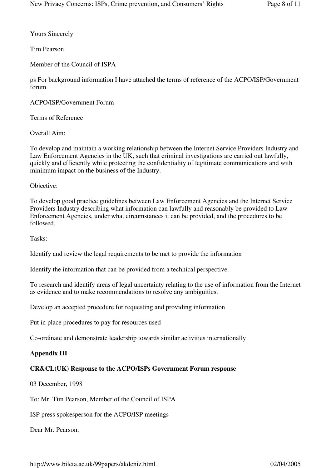Yours Sincerely

Tim Pearson

Member of the Council of ISPA

ps For background information I have attached the terms of reference of the ACPO/ISP/Government forum.

ACPO/ISP/Government Forum

Terms of Reference

Overall Aim:

To develop and maintain a working relationship between the Internet Service Providers Industry and Law Enforcement Agencies in the UK, such that criminal investigations are carried out lawfully, quickly and efficiently while protecting the confidentiality of legitimate communications and with minimum impact on the business of the Industry.

Objective:

To develop good practice guidelines between Law Enforcement Agencies and the Internet Service Providers Industry describing what information can lawfully and reasonably be provided to Law Enforcement Agencies, under what circumstances it can be provided, and the procedures to be followed.

Tasks:

Identify and review the legal requirements to be met to provide the information

Identify the information that can be provided from a technical perspective.

To research and identify areas of legal uncertainty relating to the use of information from the Internet as evidence and to make recommendations to resolve any ambiguities.

Develop an accepted procedure for requesting and providing information

Put in place procedures to pay for resources used

Co-ordinate and demonstrate leadership towards similar activities internationally

# **Appendix III**

# **CR&CL(UK) Response to the ACPO/ISPs Government Forum response**

03 December, 1998

To: Mr. Tim Pearson, Member of the Council of ISPA

ISP press spokesperson for the ACPO/ISP meetings

Dear Mr. Pearson,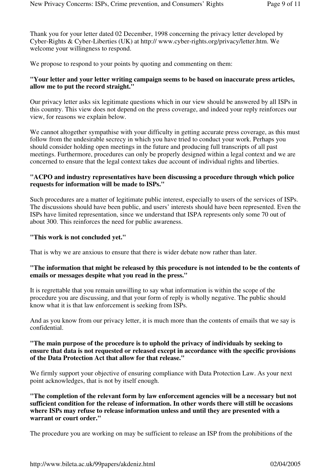Thank you for your letter dated 02 December, 1998 concerning the privacy letter developed by Cyber-Rights & Cyber-Liberties (UK) at http:// www.cyber-rights.org/privacy/letter.htm. We welcome your willingness to respond.

We propose to respond to your points by quoting and commenting on them:

#### **"Your letter and your letter writing campaign seems to be based on inaccurate press articles, allow me to put the record straight."**

Our privacy letter asks six legitimate questions which in our view should be answered by all ISPs in this country. This view does not depend on the press coverage, and indeed your reply reinforces our view, for reasons we explain below.

We cannot altogether sympathise with your difficulty in getting accurate press coverage, as this must follow from the undesirable secrecy in which you have tried to conduct your work. Perhaps you should consider holding open meetings in the future and producing full transcripts of all past meetings. Furthermore, procedures can only be properly designed within a legal context and we are concerned to ensure that the legal context takes due account of individual rights and liberties.

#### **"ACPO and industry representatives have been discussing a procedure through which police requests for information will be made to ISPs."**

Such procedures are a matter of legitimate public interest, especially to users of the services of ISPs. The discussions should have been public, and users' interests should have been represented. Even the ISPs have limited representation, since we understand that ISPA represents only some 70 out of about 300. This reinforces the need for public awareness.

#### **"This work is not concluded yet."**

That is why we are anxious to ensure that there is wider debate now rather than later.

#### **"The information that might be released by this procedure is not intended to be the contents of emails or messages despite what you read in the press."**

It is regrettable that you remain unwilling to say what information is within the scope of the procedure you are discussing, and that your form of reply is wholly negative. The public should know what it is that law enforcement is seeking from ISPs.

And as you know from our privacy letter, it is much more than the contents of emails that we say is confidential.

#### **"The main purpose of the procedure is to uphold the privacy of individuals by seeking to ensure that data is not requested or released except in accordance with the specific provisions of the Data Protection Act that allow for that release."**

We firmly support your objective of ensuring compliance with Data Protection Law. As your next point acknowledges, that is not by itself enough.

**"The completion of the relevant form by law enforcement agencies will be a necessary but not sufficient condition for the release of information. In other words there will still be occasions where ISPs may refuse to release information unless and until they are presented with a warrant or court order."**

The procedure you are working on may be sufficient to release an ISP from the prohibitions of the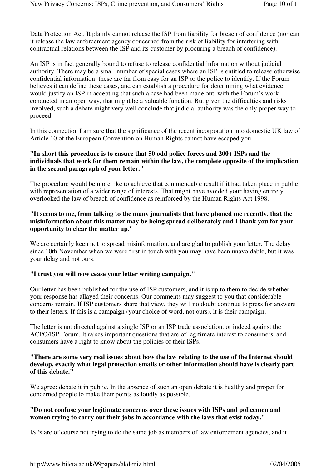Data Protection Act. It plainly cannot release the ISP from liability for breach of confidence (nor can it release the law enforcement agency concerned from the risk of liability for interfering with contractual relations between the ISP and its customer by procuring a breach of confidence).

An ISP is in fact generally bound to refuse to release confidential information without judicial authority. There may be a small number of special cases where an ISP is entitled to release otherwise confidential information: these are far from easy for an ISP or the police to identify. If the Forum believes it can define these cases, and can establish a procedure for determining what evidence would justify an ISP in accepting that such a case had been made out, with the Forum's work conducted in an open way, that might be a valuable function. But given the difficulties and risks involved, such a debate might very well conclude that judicial authority was the only proper way to proceed.

In this connection I am sure that the significance of the recent incorporation into domestic UK law of Article 10 of the European Convention on Human Rights cannot have escaped you.

#### **"In short this procedure is to ensure that 50 odd police forces and 200+ ISPs and the individuals that work for them remain within the law, the complete opposite of the implication in the second paragraph of your letter."**

The procedure would be more like to achieve that commendable result if it had taken place in public with representation of a wider range of interests. That might have avoided your having entirely overlooked the law of breach of confidence as reinforced by the Human Rights Act 1998.

#### **"It seems to me, from talking to the many journalists that have phoned me recently, that the misinformation about this matter may be being spread deliberately and I thank you for your opportunity to clear the matter up."**

We are certainly keen not to spread misinformation, and are glad to publish your letter. The delay since 10th November when we were first in touch with you may have been unavoidable, but it was your delay and not ours.

#### **"I trust you will now cease your letter writing campaign."**

Our letter has been published for the use of ISP customers, and it is up to them to decide whether your response has allayed their concerns. Our comments may suggest to you that considerable concerns remain. If ISP customers share that view, they will no doubt continue to press for answers to their letters. If this is a campaign (your choice of word, not ours), it is their campaign.

The letter is not directed against a single ISP or an ISP trade association, or indeed against the ACPO/ISP Forum. It raises important questions that are of legitimate interest to consumers, and consumers have a right to know about the policies of their ISPs.

#### **"There are some very real issues about how the law relating to the use of the Internet should develop, exactly what legal protection emails or other information should have is clearly part of this debate."**

We agree: debate it in public. In the absence of such an open debate it is healthy and proper for concerned people to make their points as loudly as possible.

#### **"Do not confuse your legitimate concerns over these issues with ISPs and policemen and women trying to carry out their jobs in accordance with the laws that exist today."**

ISPs are of course not trying to do the same job as members of law enforcement agencies, and it